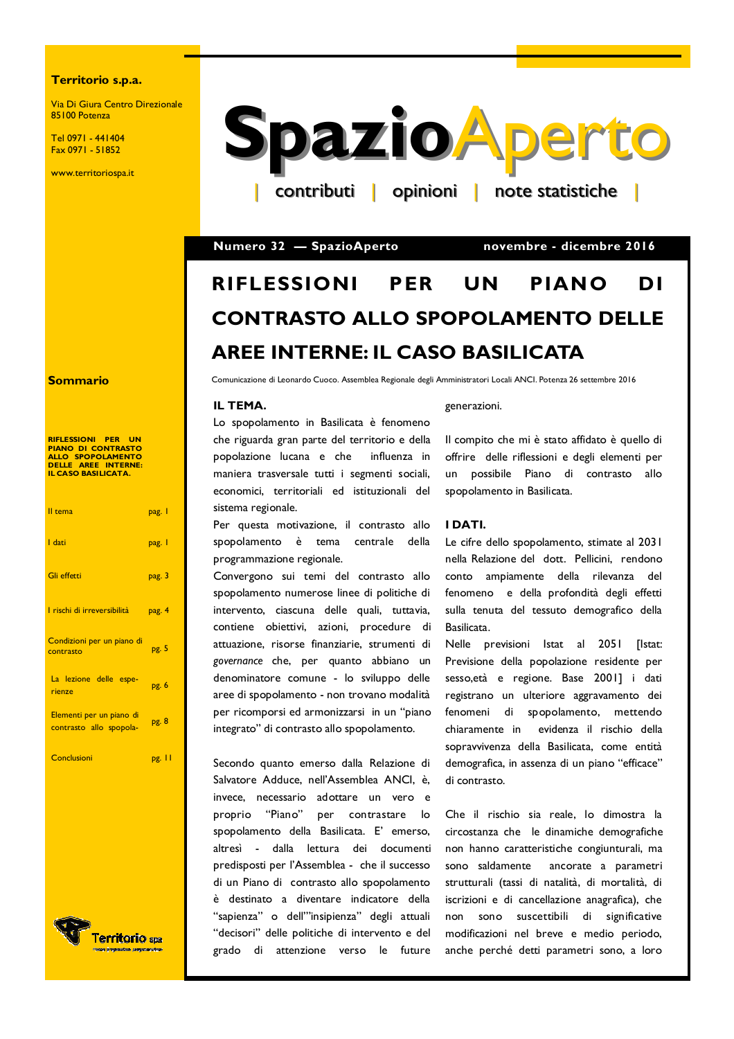#### Territorio s.p.a.

Via Di Giura Centro Direzionale 85100 Potenza

Tel 0971 - 441404 Fax 0971 - 51852

www.territoriospa.it



Numero 32 - SpazioAperto

novembre - dicembre 2016

#### **RIFLESSIONI** PER **UN** PIANO DI **CONTRASTO ALLO SPOPOLAMENTO DELLE AREE INTERNE: IL CASO BASILICATA**

Comunicazione di Leonardo Cuoco. Assemblea Regionale degli Amministratori Locali ANCI. Potenza 26 settembre 2016

#### IL TEMA.

Lo spopolamento in Basilicata è fenomeno che riguarda gran parte del territorio e della popolazione lucana e che influenza in maniera trasversale tutti i segmenti sociali, economici, territoriali ed istituzionali del sistema regionale.

Per questa motivazione, il contrasto allo spopolamento è tema centrale della programmazione regionale.

Convergono sui temi del contrasto allo spopolamento numerose linee di politiche di intervento, ciascuna delle quali, tuttavia, contiene obiettivi, azioni, procedure di attuazione, risorse finanziarie, strumenti di governance che, per quanto abbiano un denominatore comune - lo sviluppo delle aree di spopolamento - non trovano modalità per ricomporsi ed armonizzarsi in un "piano integrato" di contrasto allo spopolamento.

Secondo quanto emerso dalla Relazione di Salvatore Adduce, nell'Assemblea ANCI, è, invece, necessario adottare un vero e "Piano" proprio per contrastare lo spopolamento della Basilicata. E' emerso, altresì - dalla lettura dei documenti predisposti per l'Assemblea - che il successo di un Piano di contrasto allo spopolamento è destinato a diventare indicatore della "sapienza" o dell'"insipienza" degli attuali "decisori" delle politiche di intervento e del grado di attenzione verso le future

#### generazioni.

Il compito che mi è stato affidato è quello di offrire delle riflessioni e degli elementi per un possibile Piano di contrasto allo spopolamento in Basilicata.

#### I DATI.

Le cifre dello spopolamento, stimate al 2031 nella Relazione del dott. Pellicini, rendono conto ampiamente della rilevanza del fenomeno e della profondità degli effetti sulla tenuta del tessuto demografico della Basilicata.

Nelle previsioni Istat al 2051 **Ilstat:** Previsione della popolazione residente per sesso, età e regione. Base 2001] i dati registrano un ulteriore aggravamento dei fenomeni di spopolamento, mettendo chiaramente in evidenza il rischio della sopravvivenza della Basilicata, come entità demografica, in assenza di un piano "efficace" di contrasto.

Che il rischio sia reale, lo dimostra la circostanza che le dinamiche demografiche non hanno caratteristiche congiunturali, ma sono saldamente ancorate a parametri strutturali (tassi di natalità, di mortalità, di iscrizioni e di cancellazione anagrafica), che non sono suscettibili di significative modificazioni nel breve e medio periodo, anche perché detti parametri sono, a loro

#### **Sommario**

| <b>RIFLESSIONI PER</b><br>UN<br><b>PIANO DI CONTRASTO</b><br>ALLO SPOPOLAMENTO<br>DELLE AREE INTERNE:<br><b>IL CASO BASILICATA.</b> |        |
|-------------------------------------------------------------------------------------------------------------------------------------|--------|
| Il tema                                                                                                                             | pag. I |
| I dati                                                                                                                              | pag. I |
| Gli effetti                                                                                                                         | pag. 3 |
| I rischi di irreversibilità                                                                                                         | pag. 4 |
| Condizioni per un piano di<br>contrasto                                                                                             | pg. 5  |
| La lezione delle espe-<br>rienze                                                                                                    | pg. 6  |
| Elementi per un piano di<br>contrasto allo spopola-                                                                                 | pg. 8  |
| Conclusioni                                                                                                                         | pg. 11 |
|                                                                                                                                     |        |

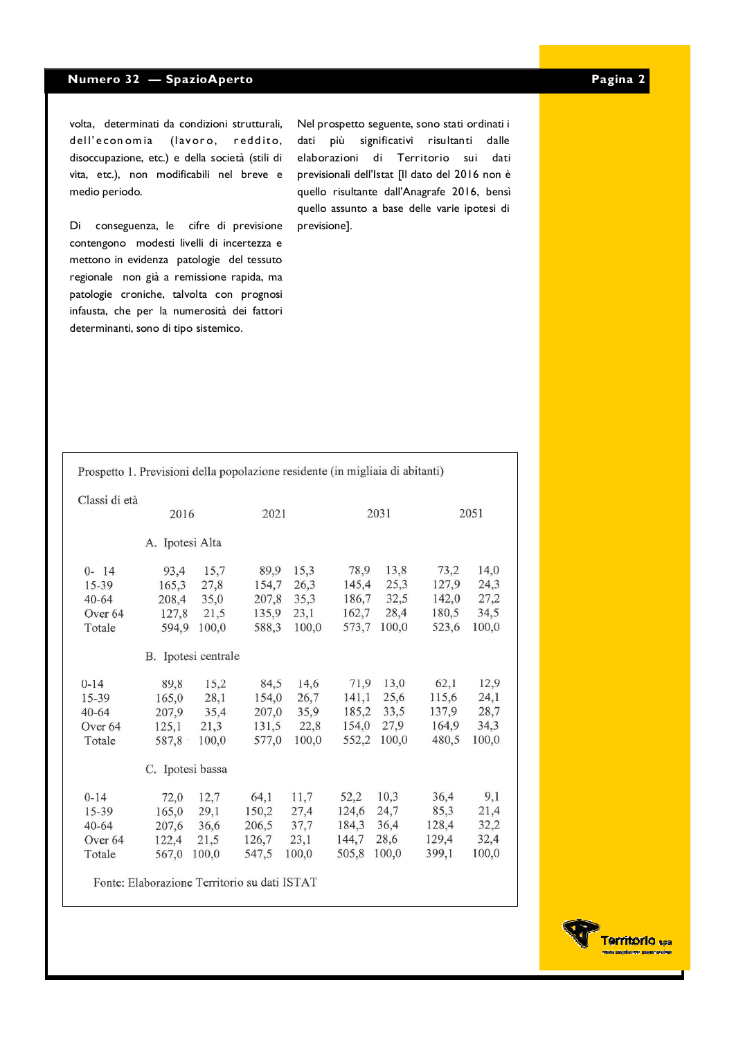volta, determinati da condizioni strutturali, dell'economia (lavoro, reddito, disoccupazione, etc.) e della società (stili di vita, etc.), non modificabili nel breve e medio periodo.

Di conseguenza, le cifre di previsione contengono modesti livelli di incertezza e mettono in evidenza patologie del tessuto regionale non già a remissione rapida, ma patologie croniche, talvolta con prognosi infausta, che per la numerosità dei fattori determinanti, sono di tipo sistemico.

Nel prospetto seguente, sono stati ordinati i dati più significativi risultanti dalle elaborazioni di Territorio sui dati previsionali dell'Istat [Il dato del 2016 non è quello risultante dall'Anagrafe 2016, bensì quello assunto a base delle varie ipotesi di previsione].

| Prospetto 1. Previsioni della popolazione residente (in migliaia di abitanti) |                                                                                                     |                     |       |       |       |       |       |       |
|-------------------------------------------------------------------------------|-----------------------------------------------------------------------------------------------------|---------------------|-------|-------|-------|-------|-------|-------|
| Classi di età                                                                 |                                                                                                     |                     |       |       |       |       |       |       |
|                                                                               | 2016                                                                                                |                     | 2021  |       | 2031  |       | 2051  |       |
| A. Ipotesi Alta                                                               |                                                                                                     |                     |       |       |       |       |       |       |
| $0 - 14$                                                                      | 93,4                                                                                                | 15,7                | 89,9  | 15,3  | 78,9  | 13,8  | 73,2  | 14,0  |
| 15-39                                                                         | 165,3                                                                                               | 27,8                | 154,7 | 26.3  | 145,4 | 25,3  | 127,9 | 24,3  |
| $40 - 64$                                                                     | 208,4                                                                                               | 35,0                | 207,8 | 35,3  | 186,7 | 32,5  | 142,0 | 27,2  |
| Over 64                                                                       | 127,8                                                                                               | 21,5                | 135,9 | 23,1  | 162,7 | 28,4  | 180,5 | 34,5  |
| Totale                                                                        | 594,9                                                                                               | 100,0               | 588,3 | 100,0 | 573,7 | 100,0 | 523,6 | 100,0 |
|                                                                               |                                                                                                     | B. Ipotesi centrale |       |       |       |       |       |       |
| $0 - 14$                                                                      | 89,8                                                                                                | 15,2                | 84,5  | 14,6  | 71,9  | 13,0  | 62,1  | 12,9  |
| 15-39                                                                         | 165,0                                                                                               | 28,1                | 154,0 | 26,7  | 141,1 | 25,6  | 115,6 | 24,1  |
| $40 - 64$                                                                     | 207,9                                                                                               | 35,4                | 207,0 | 35,9  | 185,2 | 33,5  | 137,9 | 28,7  |
| Over <sub>64</sub>                                                            | 125,1                                                                                               | 21,3                | 131,5 | 22,8  | 154,0 | 27,9  | 164,9 | 34,3  |
| Totale                                                                        | 587,8                                                                                               | 100,0               | 577,0 | 100,0 | 552,2 | 100,0 | 480,5 | 100,0 |
|                                                                               | C. Ipotesi bassa                                                                                    |                     |       |       |       |       |       |       |
| $0 - 14$                                                                      | 72,0                                                                                                | 12,7                | 64,1  | 11,7  | 52,2  | 10,3  | 36,4  | 9,1   |
| $15 - 39$                                                                     | 165,0                                                                                               | 29,1                | 150,2 | 27,4  | 124,6 | 24,7  | 85,3  | 21,4  |
| $40 - 64$                                                                     | 207,6                                                                                               | 36,6                | 206,5 | 37,7  | 184,3 | 36,4  | 128,4 | 32,2  |
| Over <sub>64</sub>                                                            | 122,4                                                                                               | 21,5                | 126.7 | 23,1  | 144,7 | 28,6  | 129,4 | 32,4  |
| Totale                                                                        | 567,0                                                                                               | 100,0               | 547,5 | 100,0 | 505,8 | 100,0 | 399.1 | 100,0 |
|                                                                               | $P_{\text{total}} = P1.1$ $P_{\text{total}} = P_{\text{total}}$ $P_{\text{total}} = 1.17$ TOTE A TE |                     |       |       |       |       |       |       |

Fonte: Elaborazione Territorio su dati ISTAT

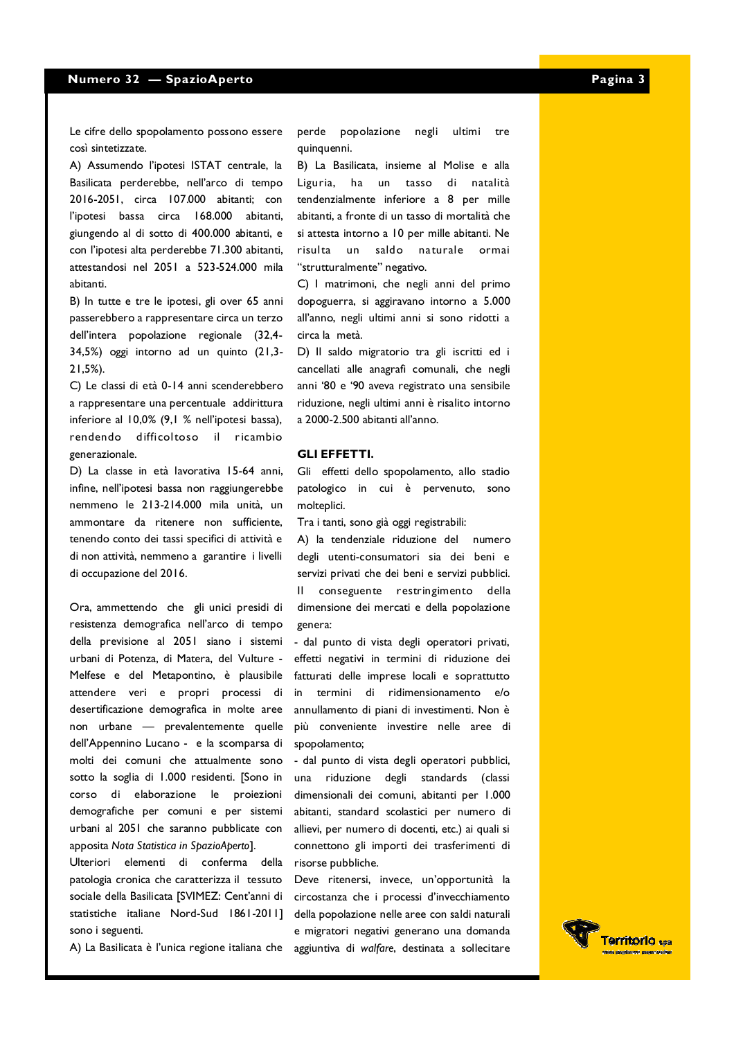Le cifre dello spopolamento possono essere così sintetizzate.

A) Assumendo l'ipotesi ISTAT centrale, la Basilicata perderebbe, nell'arco di tempo 2016-2051, circa 107.000 abitanti; con l'ipotesi bassa circa 168.000 abitanti, giungendo al di sotto di 400.000 abitanti, e con l'ipotesi alta perderebbe 71.300 abitanti, attestandosi nel 2051 a 523-524.000 mila abitanti.

B) In tutte e tre le ipotesi, gli over 65 anni passerebbero a rappresentare circa un terzo dell'intera popolazione regionale (32,4-34,5%) oggi intorno ad un quinto (21,3- $21,5\%$ ).

C) Le classi di età 0-14 anni scenderebbero a rappresentare una percentuale addirittura inferiore al 10,0% (9,1 % nell'ipotesi bassa), rendendo difficoltoso il ricambio generazionale.

D) La classe in età lavorativa 15-64 anni. infine, nell'ipotesi bassa non raggiungerebbe nemmeno le 213-214.000 mila unità, un ammontare da ritenere non sufficiente. tenendo conto dei tassi specifici di attività e di non attività, nemmeno a garantire i livelli di occupazione del 2016.

Ora, ammettendo che gli unici presidi di resistenza demografica nell'arco di tempo della previsione al 2051 siano i sistemi urbani di Potenza, di Matera, del Vulture -Melfese e del Metapontino, è plausibile attendere veri e propri processi di desertificazione demografica in molte aree non urbane - prevalentemente quelle dell'Appennino Lucano - e la scomparsa di molti dei comuni che attualmente sono sotto la soglia di 1.000 residenti. [Sono in corso di elaborazione le proiezioni demografiche per comuni e per sistemi urbani al 2051 che saranno pubblicate con apposita Nota Statistica in SpazioAbertol.

Ulteriori elementi di conferma della patologia cronica che caratterizza il tessuto sociale della Basilicata [SVIMEZ: Cent'anni di statistiche italiane Nord-Sud 1861-2011] sono i seguenti.

perde popolazione negli ultimi tre quinquenni.

B) La Basilicata, insieme al Molise e alla Liguria, ha un tasso di natalità tendenzialmente inferiore a 8 per mille abitanti, a fronte di un tasso di mortalità che si attesta intorno a 10 per mille abitanti. Ne saldo naturale ormai risulta un "strutturalmente" negativo.

C) I matrimoni, che negli anni del primo dopoguerra, si aggiravano intorno a 5.000 all'anno, negli ultimi anni si sono ridotti a circa la metà.

D) Il saldo migratorio tra gli iscritti ed i cancellati alle anagrafi comunali, che negli anni '80 e '90 aveva registrato una sensibile riduzione, negli ultimi anni è risalito intorno a 2000-2.500 abitanti all'anno.

#### **GLI EFFETTI.**

Gli effetti dello spopolamento, allo stadio patologico in cui è pervenuto, sono molteplici.

Tra i tanti, sono già oggi registrabili:

A) la tendenziale riduzione del numero degli utenti-consumatori sia dei beni e servizi privati che dei beni e servizi pubblici. Il conseguente restringimento della dimensione dei mercati e della popolazione genera:

- dal punto di vista degli operatori privati, effetti negativi in termini di riduzione dei fatturati delle imprese locali e soprattutto  $in$ termini di ridimensionamento e/o annullamento di piani di investimenti. Non è più conveniente investire nelle aree di spopolamento;

- dal punto di vista degli operatori pubblici, una riduzione degli standards (classi dimensionali dei comuni, abitanti per 1.000 abitanti, standard scolastici per numero di allievi, per numero di docenti, etc.) ai quali si connettono gli importi dei trasferimenti di risorse pubbliche.

Deve ritenersi, invece, un'opportunità la circostanza che i processi d'invecchiamento della popolazione nelle aree con saldi naturali e migratori negativi generano una domanda A) La Basilicata è l'unica regione italiana che aggiuntiva di walfare, destinata a sollecitare

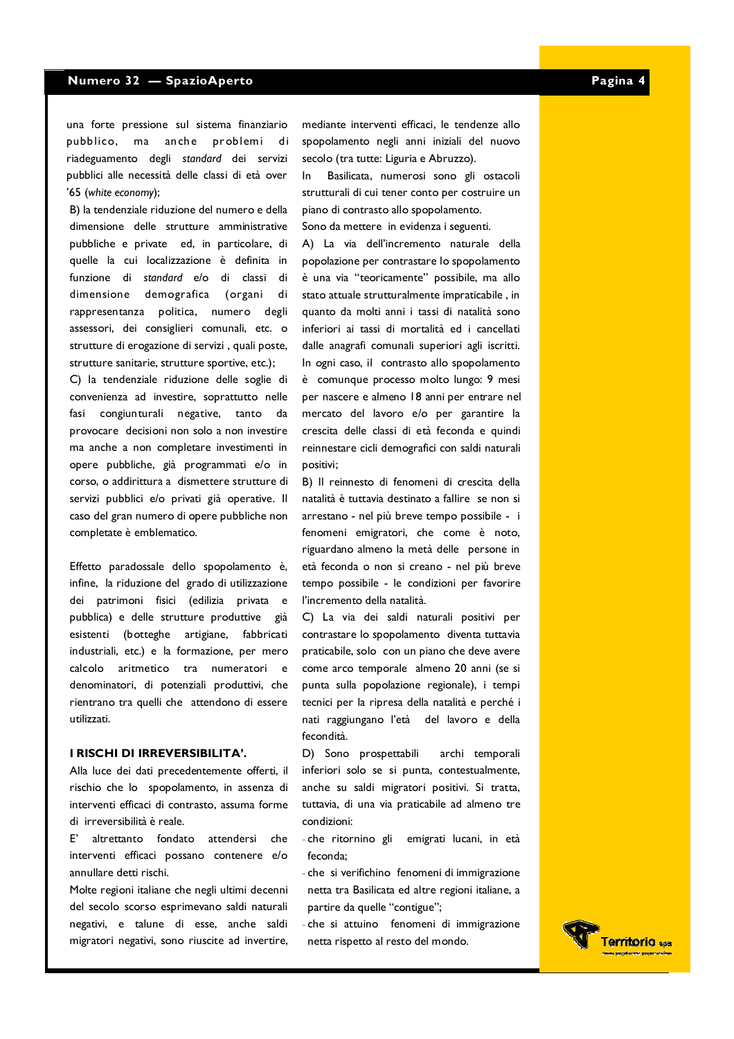una forte pressione sul sistema finanziario pubblico, ma anche problemi di riadeguamento degli standard dei servizi pubblici alle necessità delle classi di età over '65 (white economy);

B) la tendenziale riduzione del numero e della dimensione delle strutture amministrative pubbliche e private ed, in particolare, di quelle la cui localizzazione è definita in funzione di standard e/o di classi di dimensione demografica (organi di rappresentanza politica, numero degli assessori, dei consiglieri comunali, etc. o strutture di erogazione di servizi, quali poste, strutture sanitarie, strutture sportive, etc.);

C) la tendenziale riduzione delle soglie di convenienza ad investire, soprattutto nelle fasi congiunturali negative, tanto da provocare decisioni non solo a non investire ma anche a non completare investimenti in opere pubbliche, già programmati e/o in corso, o addirittura a dismettere strutture di servizi pubblici e/o privati già operative. Il caso del gran numero di opere pubbliche non completate è emblematico.

Effetto paradossale dello spopolamento è, infine, la riduzione del grado di utilizzazione dei patrimoni fisici (edilizia privata e pubblica) e delle strutture produttive già esistenti (botteghe artigiane, fabbricati industriali, etc.) e la formazione, per mero calcolo aritmetico tra numeratori e denominatori, di potenziali produttivi, che rientrano tra quelli che attendono di essere utilizzati.

#### I RISCHI DI IRREVERSIBILITA'.

Alla luce dei dati precedentemente offerti, il rischio che lo spopolamento, in assenza di interventi efficaci di contrasto, assuma forme di irreversibilità è reale.

altrettanto fondato attendersi che  $F'$ interventi efficaci possano contenere e/o annullare detti rischi.

Molte regioni italiane che negli ultimi decenni del secolo scorso esprimevano saldi naturali negativi, e talune di esse, anche saldi migratori negativi, sono riuscite ad invertire,

mediante interventi efficaci, le tendenze allo spopolamento negli anni iniziali del nuovo secolo (tra tutte: Liguria e Abruzzo).

Basilicata, numerosi sono gli ostacoli  $\ln$ strutturali di cui tener conto per costruire un piano di contrasto allo spopolamento. Sono da mettere in evidenza i seguenti.

A) La via dell'incremento naturale della popolazione per contrastare lo spopolamento è una via "teoricamente" possibile, ma allo stato attuale strutturalmente impraticabile, in quanto da molti anni i tassi di natalità sono inferiori ai tassi di mortalità ed i cancellati dalle anagrafi comunali superiori agli iscritti. In ogni caso, il contrasto allo spopolamento è comunque processo molto lungo: 9 mesi per nascere e almeno 18 anni per entrare nel mercato del lavoro e/o per garantire la crescita delle classi di età feconda e quindi reinnestare cicli demografici con saldi naturali positivi;

B) Il reinnesto di fenomeni di crescita della natalità è tuttavia destinato a fallire se non si arrestano - nel più breve tempo possibile - i fenomeni emigratori, che come è noto, riguardano almeno la metà delle persone in età feconda o non si creano - nel più breve tempo possibile - le condizioni per favorire l'incremento della natalità.

C) La via dei saldi naturali positivi per contrastare lo spopolamento diventa tuttavia praticabile, solo con un piano che deve avere come arco temporale almeno 20 anni (se si punta sulla popolazione regionale), i tempi tecnici per la ripresa della natalità e perché i nati raggiungano l'età del lavoro e della fecondità.

D) Sono prospettabili archi temporali inferiori solo se si punta, contestualmente, anche su saldi migratori positivi. Si tratta, tuttavia, di una via praticabile ad almeno tre condizioni:

- che ritornino gli emigrati lucani, in età feconda;
- che si verifichino fenomeni di immigrazione netta tra Basilicata ed altre regioni italiane, a partire da quelle "contigue";
- che si attuino fenomeni di immigrazione netta rispetto al resto del mondo.

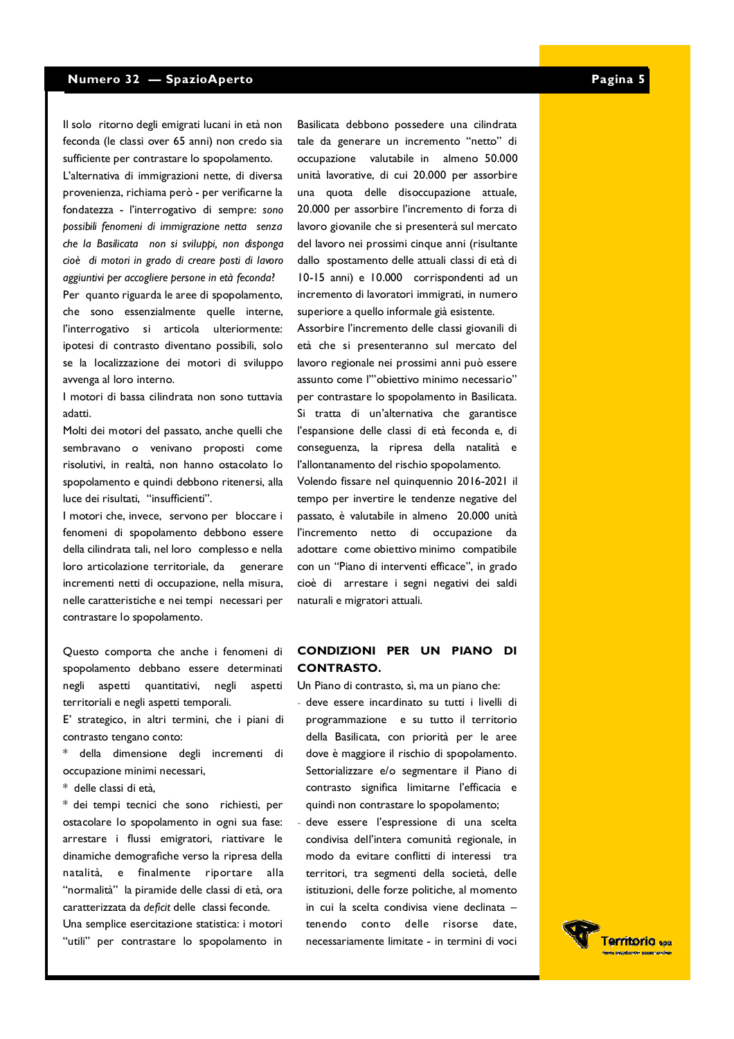Il solo ritorno degli emigrati lucani in età non feconda (le classi over 65 anni) non credo sia sufficiente per contrastare lo spopolamento.

L'alternativa di immigrazioni nette, di diversa provenienza, richiama però - per verificarne la fondatezza - l'interrogativo di sempre: sono possibili fenomeni di immigrazione netta senza che la Basilicata non si sviluppi, non disponga cioè di motori in grado di creare posti di lavoro aggiuntivi per accogliere persone in età feconda? Per quanto riguarda le aree di spopolamento, che sono essenzialmente quelle interne, l'interrogativo si articola ulteriormente: ipotesi di contrasto diventano possibili, solo se la localizzazione dei motori di sviluppo avvenga al loro interno.

I motori di bassa cilindrata non sono tuttavia adatti

Molti dei motori del passato, anche quelli che sembravano o venivano proposti come risolutivi, in realtà, non hanno ostacolato lo spopolamento e quindi debbono ritenersi, alla luce dei risultati, "insufficienti".

I motori che, invece, servono per bloccare i fenomeni di spopolamento debbono essere della cilindrata tali, nel loro complesso e nella loro articolazione territoriale, da generare incrementi netti di occupazione, nella misura, nelle caratteristiche e nei tempi necessari per contrastare lo spopolamento.

Questo comporta che anche i fenomeni di spopolamento debbano essere determinati negli aspetti quantitativi, negli aspetti territoriali e negli aspetti temporali.

E' strategico, in altri termini, che i piani di contrasto tengano conto:

- \* della dimensione degli incrementi di occupazione minimi necessari,
- \* delle classi di età.

\* dei tempi tecnici che sono richiesti, per ostacolare lo spopolamento in ogni sua fase: arrestare i flussi emigratori, riattivare le dinamiche demografiche verso la ripresa della natalità, e finalmente riportare alla "normalità" la piramide delle classi di età, ora caratterizzata da deficit delle classi feconde.

Una semplice esercitazione statistica: i motori "utili" per contrastare lo spopolamento in Basilicata debbono possedere una cilindrata tale da generare un incremento "netto" di occupazione valutabile in almeno 50.000 unità lavorative, di cui 20.000 per assorbire una quota delle disoccupazione attuale, 20.000 per assorbire l'incremento di forza di lavoro giovanile che si presenterà sul mercato del lavoro nei prossimi cinque anni (risultante dallo spostamento delle attuali classi di età di 10-15 anni) e 10.000 corrispondenti ad un incremento di lavoratori immigrati, in numero superiore a quello informale già esistente.

Assorbire l'incremento delle classi giovanili di età che si presenteranno sul mercato del lavoro regionale nei prossimi anni può essere assunto come l'"obiettivo minimo necessario" per contrastare lo spopolamento in Basilicata. Si tratta di un'alternativa che garantisce l'espansione delle classi di età feconda e, di conseguenza, la ripresa della natalità e l'allontanamento del rischio spopolamento. Volendo fissare nel quinquennio 2016-2021 il tempo per invertire le tendenze negative del passato, è valutabile in almeno 20.000 unità l'incremento netto di occupazione da adottare come obiettivo minimo compatibile con un "Piano di interventi efficace", in grado cioè di arrestare i segni negativi dei saldi naturali e migratori attuali.

#### CONDIZIONI PER UN PIANO DI **CONTRASTO.**

Un Piano di contrasto, sì, ma un piano che:

- deve essere incardinato su tutti i livelli di programmazione e su tutto il territorio della Basilicata, con priorità per le aree dove è maggiore il rischio di spopolamento. Settorializzare e/o segmentare il Piano di contrasto significa limitarne l'efficacia e quindi non contrastare lo spopolamento;
- deve essere l'espressione di una scelta condivisa dell'intera comunità regionale, in modo da evitare conflitti di interessi tra territori, tra segmenti della società, delle istituzioni, delle forze politiche, al momento in cui la scelta condivisa viene declinata tenendo conto delle risorse date necessariamente limitate - in termini di voci

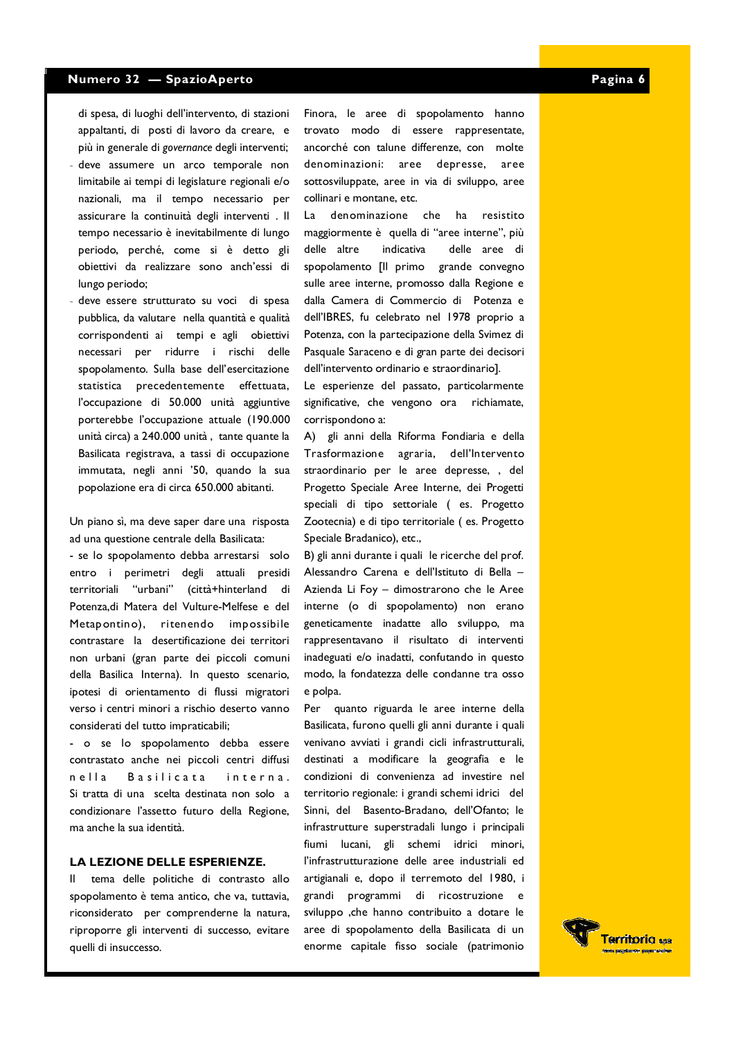di spesa, di luoghi dell'intervento, di stazioni appaltanti, di posti di lavoro da creare, e più in generale di governance degli interventi;

- deve assumere un arco temporale non limitabile ai tempi di legislature regionali e/o nazionali, ma il tempo necessario per assicurare la continuità degli interventi. Il tempo necessario è inevitabilmente di lungo periodo, perché, come si è detto gli obiettivi da realizzare sono anch'essi di lungo periodo;
- deve essere strutturato su voci di spesa pubblica, da valutare nella quantità e qualità corrispondenti ai tempi e agli obiettivi necessari per ridurre i rischi delle spopolamento. Sulla base dell'esercitazione statistica precedentemente effettuata, l'occupazione di 50.000 unità aggiuntive porterebbe l'occupazione attuale (190.000 unità circa) a 240.000 unità, tante quante la Basilicata registrava, a tassi di occupazione immutata, negli anni '50, quando la sua popolazione era di circa 650.000 abitanti.

Un piano sì, ma deve saper dare una risposta ad una questione centrale della Basilicata:

- se lo spopolamento debba arrestarsi solo entro i perimetri degli attuali presidi "urbani" territoriali (città+hinterland di Potenza, di Matera del Vulture-Melfese e del Metapontino), ritenendo impossibile contrastare la desertificazione dei territori non urbani (gran parte dei piccoli comuni della Basilica Interna). In questo scenario, ipotesi di orientamento di flussi migratori verso i centri minori a rischio deserto vanno considerati del tutto impraticabili;

- o se lo spopolamento debba essere contrastato anche nei piccoli centri diffusi  $n$ ella **Basilicata** interna Si tratta di una scelta destinata non solo a condizionare l'assetto futuro della Regione, ma anche la sua identità.

#### LA LEZIONE DELLE ESPERIENZE.

tema delle politiche di contrasto allo  $\mathbf{H}$ spopolamento è tema antico, che va, tuttavia, riconsiderato per comprenderne la natura, riproporre gli interventi di successo, evitare quelli di insuccesso.

Finora, le aree di spopolamento hanno trovato modo di essere rappresentate, ancorché con talune differenze, con molte denominazioni: aree depresse, aree sottosviluppate, aree in via di sviluppo, aree collinari e montane, etc.

denominazione che ha resistito  $La$ maggiormente è quella di "aree interne", più delle altre indicativa delle aree di spopolamento [Il primo grande convegno sulle aree interne, promosso dalla Regione e dalla Camera di Commercio di Potenza e dell'IBRES, fu celebrato nel 1978 proprio a Potenza, con la partecipazione della Svimez di Pasquale Saraceno e di gran parte dei decisori dell'intervento ordinario e straordinario].

Le esperienze del passato, particolarmente significative, che vengono ora richiamate, corrispondono a:

A) gli anni della Riforma Fondiaria e della Trasformazione agraria, dell'Intervento straordinario per le aree depresse, , del Progetto Speciale Aree Interne, dei Progetti speciali di tipo settoriale (es. Progetto Zootecnia) e di tipo territoriale (es. Progetto Speciale Bradanico), etc.,

B) gli anni durante i quali le ricerche del prof. Alessandro Carena e dell'Istituto di Bella -Azienda Li Foy - dimostrarono che le Aree interne (o di spopolamento) non erano geneticamente inadatte allo sviluppo, ma rappresentavano il risultato di interventi inadeguati e/o inadatti, confutando in questo modo, la fondatezza delle condanne tra osso e polpa.

Per quanto riguarda le aree interne della Basilicata, furono quelli gli anni durante i quali venivano avviati i grandi cicli infrastrutturali, destinati a modificare la geografia e le condizioni di convenienza ad investire nel territorio regionale: i grandi schemi idrici del Sinni, del Basento-Bradano, dell'Ofanto; le infrastrutture superstradali lungo i principali fiumi lucani, gli schemi idrici minori, l'infrastrutturazione delle aree industriali ed artigianali e, dopo il terremoto del 1980, i grandi programmi di ricostruzione e sviluppo ,che hanno contribuito a dotare le aree di spopolamento della Basilicata di un enorme capitale fisso sociale (patrimonio

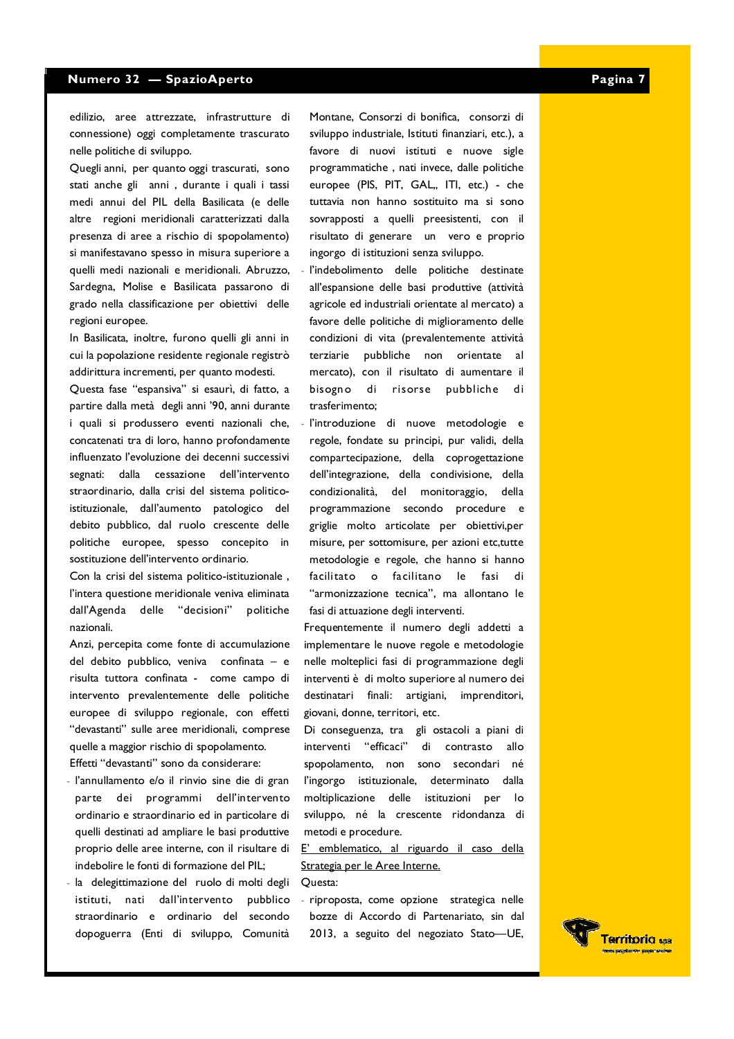edilizio, aree attrezzate, infrastrutture di connessione) oggi completamente trascurato nelle politiche di sviluppo.

Quegli anni, per quanto oggi trascurati, sono stati anche gli anni, durante i quali i tassi medi annui del PIL della Basilicata (e delle altre regioni meridionali caratterizzati dalla presenza di aree a rischio di spopolamento) si manifestavano spesso in misura superiore a quelli medi nazionali e meridionali. Abruzzo, Sardegna, Molise e Basilicata passarono di grado nella classificazione per obiettivi delle regioni europee.

In Basilicata, inoltre, furono quelli gli anni in cui la popolazione residente regionale registrò addirittura incrementi, per quanto modesti.

Questa fase "espansiva" si esaurì, di fatto, a partire dalla metà degli anni '90, anni durante i quali si produssero eventi nazionali che, concatenati tra di loro, hanno profondamente influenzato l'evoluzione dei decenni successivi segnati: dalla cessazione dell'intervento straordinario, dalla crisi del sistema politicoistituzionale, dall'aumento patologico del debito pubblico, dal ruolo crescente delle politiche europee, spesso concepito in sostituzione dell'intervento ordinario.

Con la crisi del sistema politico-istituzionale, l'intera questione meridionale veniva eliminata dall'Agenda delle "decisioni" politiche nazionali.

Anzi, percepita come fonte di accumulazione del debito pubblico, veniva confinata - e risulta tuttora confinata - come campo di intervento prevalentemente delle politiche europee di sviluppo regionale, con effetti "devastanti" sulle aree meridionali, comprese quelle a maggior rischio di spopolamento.

Effetti "devastanti" sono da considerare:

- l'annullamento e/o il rinvio sine die di gran parte dei programmi dell'intervento ordinario e straordinario ed in particolare di quelli destinati ad ampliare le basi produttive proprio delle aree interne, con il risultare di indebolire le fonti di formazione del PIL;
- la delegittimazione del ruolo di molti degli istituti, nati dall'intervento pubblico straordinario e ordinario del secondo dopoguerra (Enti di sviluppo, Comunità

Montane, Consorzi di bonifica, consorzi di sviluppo industriale, Istituti finanziari, etc.), a favore di nuovi istituti e nuove sigle programmatiche, nati invece, dalle politiche europee (PIS, PIT, GAL,, ITI, etc.) - che tuttavia non hanno sostituito ma si sono sovrapposti a quelli preesistenti, con il risultato di generare un vero e proprio ingorgo di istituzioni senza sviluppo.

- l'indebolimento delle politiche destinate all'espansione delle basi produttive (attività agricole ed industriali orientate al mercato) a favore delle politiche di miglioramento delle condizioni di vita (prevalentemente attività terziarie pubbliche non orientate al mercato), con il risultato di aumentare il  $\mathbf{d}$  i bisogno di risorse pubbliche trasferimento;
- l'introduzione di nuove metodologie e regole, fondate su principi, pur validi, della compartecipazione, della coprogettazione dell'integrazione, della condivisione, della condizionalità, del monitoraggio, della programmazione secondo procedure e griglie molto articolate per obiettivi,per misure, per sottomisure, per azioni etc,tutte metodologie e regole, che hanno si hanno facilitato o facilitano le fasi di "armonizzazione tecnica", ma allontano le fasi di attuazione degli interventi.

Frequentemente il numero degli addetti a implementare le nuove regole e metodologie nelle molteplici fasi di programmazione degli interventi è di molto superiore al numero dei destinatari finali: artigiani, imprenditori, giovani, donne, territori, etc.

Di conseguenza, tra gli ostacoli a piani di interventi "efficaci" di contrasto allo spopolamento, non sono secondari né l'ingorgo istituzionale, determinato dalla moltiplicazione delle istituzioni per  $\overline{a}$ sviluppo, né la crescente ridondanza di metodi e procedure.

E' emblematico, al riguardo il caso della Strategia per le Aree Interne. Ouesta:

- riproposta, come opzione strategica nelle bozze di Accordo di Partenariato, sin dal 2013, a seguito del negoziato Stato-UE,

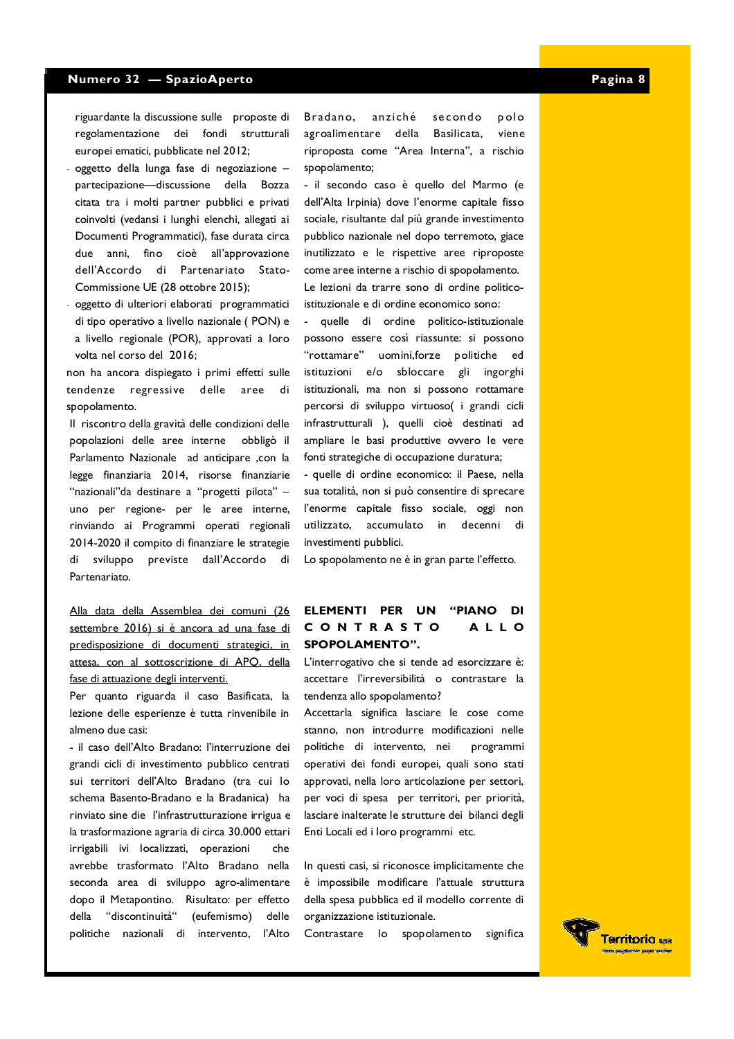riguardante la discussione sulle proposte di regolamentazione dei fondi strutturali europei ematici, pubblicate nel 2012;

- oggetto della lunga fase di negoziazione partecipazione-discussione della Bozza citata tra i molti partner pubblici e privati coinvolti (vedansi i lunghi elenchi, allegati ai Documenti Programmatici), fase durata circa due anni, fino cioè all'approvazione dell'Accordo di Partenariato Stato-Commissione UE (28 ottobre 2015);
- oggetto di ulteriori elaborati programmatici di tipo operativo a livello nazionale (PON) e a livello regionale (POR), approvati a loro volta nel corso del 2016;

non ha ancora dispiegato i primi effetti sulle tendenze regressive delle di. aree spopolamento.

Il riscontro della gravità delle condizioni delle popolazioni delle aree interne obbligò il Parlamento Nazionale ad anticipare ,con la legge finanziaria 2014, risorse finanziarie "nazionali"da destinare a "progetti pilota" uno per regione- per le aree interne, rinviando ai Programmi operati regionali 2014-2020 il compito di finanziare le strategie di sviluppo previste dall'Accordo di Partenariato.

Alla data della Assemblea dei comuni (26 settembre 2016) si è ancora ad una fase di predisposizione di documenti strategici, in attesa, con al sottoscrizione di APQ, della fase di attuazione degli interventi.

Per quanto riguarda il caso Basificata, la lezione delle esperienze è tutta rinvenibile in almeno due casi:

- il caso dell'Alto Bradano: l'interruzione dei grandi cicli di investimento pubblico centrati sui territori dell'Alto Bradano (tra cui lo schema Basento-Bradano e la Bradanica) ha rinviato sine die l'infrastrutturazione irrigua e la trasformazione agraria di circa 30.000 ettari irrigabili ivi localizzati, operazioni che avrebbe trasformato l'Alto Bradano nella seconda area di sviluppo agro-alimentare dopo il Metapontino. Risultato: per effetto della "discontinuità" (eufemismo) delle politiche nazionali di intervento, l'Alto Bradano, anziché secondo polo agroalimentare della Basilicata, viene riproposta come "Area Interna", a rischio spopolamento;

- il secondo caso è quello del Marmo (e dell'Alta Irpinia) dove l'enorme capitale fisso sociale, risultante dal più grande investimento pubblico nazionale nel dopo terremoto, giace inutilizzato e le rispettive aree riproposte come aree interne a rischio di spopolamento. Le lezioni da trarre sono di ordine politicoistituzionale e di ordine economico sono:

- quelle di ordine politico-istituzionale possono essere così riassunte: si possono "rottamare" uomini, forze politiche ed istituzioni e/o sbloccare gli ingorghi istituzionali, ma non si possono rottamare percorsi di sviluppo virtuoso( i grandi cicli infrastrutturali ), quelli cioè destinati ad ampliare le basi produttive ovvero le vere fonti strategiche di occupazione duratura;

- quelle di ordine economico: il Paese, nella sua totalità, non si può consentire di sprecare l'enorme capitale fisso sociale, oggi non utilizzato, accumulato in decenni di investimenti pubblici.

Lo spopolamento ne è in gran parte l'effetto.

#### **ELEMENTI PER UN "PIANO" DI** CONTRASTO **ALLO SPOPOLAMENTO".**

L'interrogativo che si tende ad esorcizzare è: accettare l'irreversibilità o contrastare la tendenza allo spopolamento?

Accettarla significa lasciare le cose come stanno, non introdurre modificazioni nelle politiche di intervento, nei programmi operativi dei fondi europei, quali sono stati approvati, nella loro articolazione per settori, per voci di spesa per territori, per priorità, lasciare inalterate le strutture dei bilanci degli Enti Locali ed i loro programmi etc.

In questi casi, si riconosce implicitamente che è impossibile modificare l'attuale struttura della spesa pubblica ed il modello corrente di organizzazione istituzionale.

Contrastare lo spopolamento significa

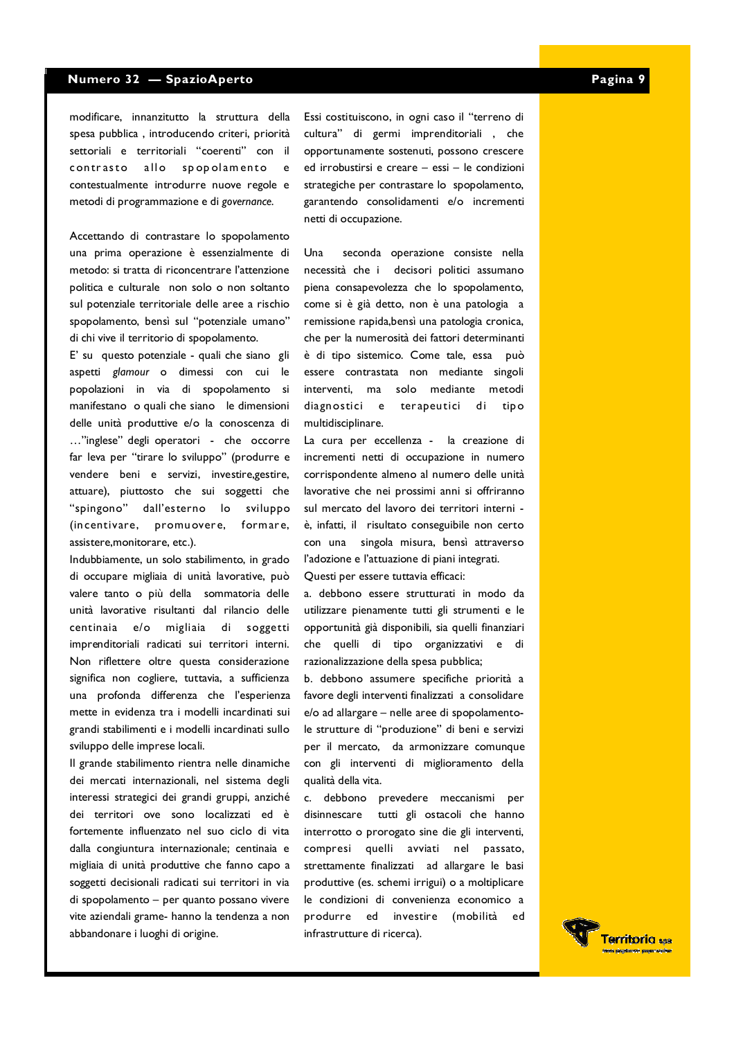modificare, innanzitutto la struttura della spesa pubblica, introducendo criteri, priorità settoriali e territoriali "coerenti" con il contrasto allo spopolamento  $\epsilon$ contestualmente introdurre nuove regole e metodi di programmazione e di governance.

Accettando di contrastare lo spopolamento una prima operazione è essenzialmente di metodo: si tratta di riconcentrare l'attenzione politica e culturale non solo o non soltanto sul potenziale territoriale delle aree a rischio spopolamento, bensì sul "potenziale umano" di chi vive il territorio di spopolamento.

E' su questo potenziale - quali che siano gli aspetti glamour o dimessi con cui le popolazioni in via di spopolamento si manifestano o quali che siano le dimensioni delle unità produttive e/o la conoscenza di ..."inglese" degli operatori - che occorre far leva per "tirare lo sviluppo" (produrre e vendere beni e servizi, investire, gestire, attuare), piuttosto che sui soggetti che "spingono" dall'esterno lo sviluppo (incentivare, promuovere, formare, assistere, monitorare, etc.).

Indubbiamente, un solo stabilimento, in grado di occupare migliaia di unità lavorative, può valere tanto o più della sommatoria delle unità lavorative risultanti dal rilancio delle centinaia e/o migliaia di soggetti imprenditoriali radicati sui territori interni. Non riflettere oltre questa considerazione significa non cogliere, tuttavia, a sufficienza una profonda differenza che l'esperienza mette in evidenza tra i modelli incardinati sui grandi stabilimenti e i modelli incardinati sullo sviluppo delle imprese locali.

Il grande stabilimento rientra nelle dinamiche dei mercati internazionali, nel sistema degli interessi strategici dei grandi gruppi, anziché dei territori ove sono localizzati ed è fortemente influenzato nel suo ciclo di vita dalla congiuntura internazionale; centinaia e migliaia di unità produttive che fanno capo a soggetti decisionali radicati sui territori in via di spopolamento - per quanto possano vivere vite aziendali grame- hanno la tendenza a non abbandonare i luoghi di origine.

Essi costituiscono, in ogni caso il "terreno di cultura" di germi imprenditoriali , che opportunamente sostenuti, possono crescere ed irrobustirsi e creare - essi - le condizioni strategiche per contrastare lo spopolamento, garantendo consolidamenti e/o incrementi netti di occupazione.

Una seconda operazione consiste nella necessità che i decisori politici assumano piena consapevolezza che lo spopolamento, come si è già detto, non è una patologia a remissione rapida, bensì una patologia cronica, che per la numerosità dei fattori determinanti è di tipo sistemico. Come tale, essa può essere contrastata non mediante singoli interventi. ma solo mediante metodi diagnostici e terapeutici di tipo multidisciplinare.

La cura per eccellenza - la creazione di incrementi netti di occupazione in numero corrispondente almeno al numero delle unità lavorative che nei prossimi anni si offriranno sul mercato del lavoro dei territori interni è, infatti, il risultato conseguibile non certo con una singola misura, bensì attraverso l'adozione e l'attuazione di piani integrati. Questi per essere tuttavia efficaci:

a. debbono essere strutturati in modo da

utilizzare pienamente tutti gli strumenti e le opportunità già disponibili, sia quelli finanziari che quelli di tipo organizzativi e di razionalizzazione della spesa pubblica;

b. debbono assumere specifiche priorità a favore degli interventi finalizzati a consolidare e/o ad allargare - nelle aree di spopolamentole strutture di "produzione" di beni e servizi per il mercato, da armonizzare comunque con gli interventi di miglioramento della qualità della vita.

c. debbono prevedere meccanismi per disinnescare tutti gli ostacoli che hanno interrotto o prorogato sine die gli interventi, compresi quelli avviati nel passato, strettamente finalizzati ad allargare le basi produttive (es. schemi irrigui) o a moltiplicare le condizioni di convenienza economico a produrre ed investire (mobilità  $hd$ infrastrutture di ricerca).

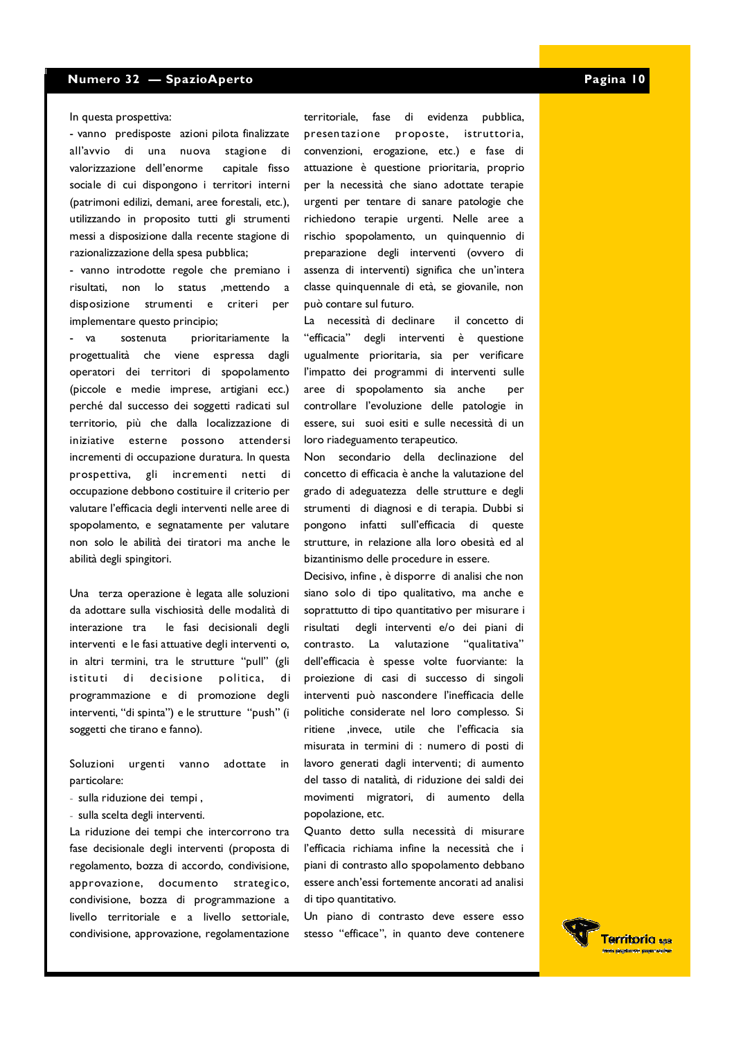In questa prospettiva:

- vanno predisposte azioni pilota finalizzate all'avvio di una nuova stagione di valorizzazione dell'enorme capitale fisso sociale di cui dispongono i territori interni (patrimoni edilizi, demani, aree forestali, etc.), utilizzando in proposito tutti gli strumenti messi a disposizione dalla recente stagione di razionalizzazione della spesa pubblica:

- vanno introdotte regole che premiano i risultati, non lo status ,mettendo a disposizione strumenti e criteri per implementare questo principio:

 $-<sup>1</sup>$  va prioritariamente la sostenuta progettualità che viene espressa dagli operatori dei territori di spopolamento (piccole e medie imprese, artigiani ecc.) perché dal successo dei soggetti radicati sul territorio, più che dalla localizzazione di iniziative esterne possono attendersi incrementi di occupazione duratura. In questa prospettiva, gli incrementi netti di occupazione debbono costituire il criterio per valutare l'efficacia degli interventi nelle aree di spopolamento, e segnatamente per valutare non solo le abilità dei tiratori ma anche le abilità degli spingitori.

Una terza operazione è legata alle soluzioni da adottare sulla vischiosità delle modalità di le fasi decisionali degli interazione tra interventi e le fasi attuative degli interventi o, in altri termini, tra le strutture "pull" (gli istituti di decisione politica, di programmazione e di promozione degli interventi, "di spinta") e le strutture "push" (i soggetti che tirano e fanno).

Soluzioni urgenti vanno adottate in particolare:

- sulla riduzione dei tempi.
- sulla scelta degli interventi.

La riduzione dei tempi che intercorrono tra fase decisionale degli interventi (proposta di regolamento, bozza di accordo, condivisione, approvazione, documento strategico, condivisione, bozza di programmazione a livello territoriale e a livello settoriale, condivisione, approvazione, regolamentazione

territoriale, fase di evidenza pubblica, presentazione proposte, istruttoria, convenzioni, erogazione, etc.) e fase di attuazione è questione prioritaria, proprio per la necessità che siano adottate terapie urgenti per tentare di sanare patologie che richiedono terapie urgenti. Nelle aree a rischio spopolamento, un quinquennio di preparazione degli interventi (ovvero di assenza di interventi) significa che un'intera classe quinquennale di età, se giovanile, non può contare sul futuro.

La necessità di declinare il concetto di "efficacia" degli interventi è questione ugualmente prioritaria, sia per verificare l'impatto dei programmi di interventi sulle aree di spopolamento sia anche **ner** controllare l'evoluzione delle patologie in essere, sui suoi esiti e sulle necessità di un loro riadeguamento terapeutico.

Non secondario della declinazione del concetto di efficacia è anche la valutazione del grado di adeguatezza delle strutture e degli strumenti di diagnosi e di terapia. Dubbi si pongono infatti sull'efficacia di queste strutture, in relazione alla loro obesità ed al bizantinismo delle procedure in essere.

Decisivo, infine, è disporre di analisi che non siano solo di tipo qualitativo, ma anche e soprattutto di tipo quantitativo per misurare i risultati degli interventi e/o dei piani di contrasto. La valutazione "qualitativa" dell'efficacia è spesse volte fuorviante: la proiezione di casi di successo di singoli interventi può nascondere l'inefficacia delle politiche considerate nel loro complesso. Si ritiene , invece, utile che l'efficacia sia misurata in termini di : numero di posti di lavoro generati dagli interventi; di aumento del tasso di natalità, di riduzione dei saldi dei movimenti migratori, di aumento della popolazione, etc.

Quanto detto sulla necessità di misurare l'efficacia richiama infine la necessità che i piani di contrasto allo spopolamento debbano essere anch'essi fortemente ancorati ad analisi di tipo quantitativo.

Un piano di contrasto deve essere esso stesso "efficace", in quanto deve contenere

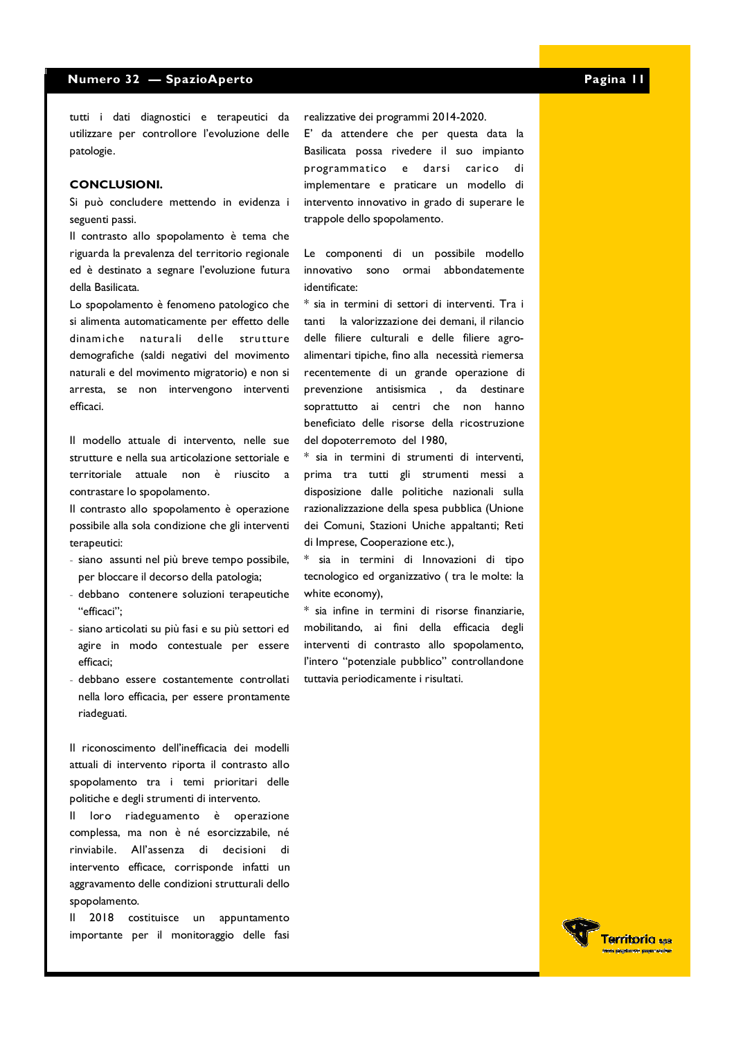tutti i dati diagnostici e terapeutici da utilizzare per controllore l'evoluzione delle patologie.

#### **CONCLUSIONI.**

Si può concludere mettendo in evidenza i seguenti passi.

Il contrasto allo spopolamento è tema che riguarda la prevalenza del territorio regionale ed è destinato a segnare l'evoluzione futura della Basilicata.

Lo spopolamento è fenomeno patologico che si alimenta automaticamente per effetto delle dinamiche naturali delle strutture demografiche (saldi negativi del movimento naturali e del movimento migratorio) e non si arresta, se non intervengono interventi efficaci.

Il modello attuale di intervento, nelle sue strutture e nella sua articolazione settoriale e territoriale attuale non è riuscito a contrastare lo spopolamento.

Il contrasto allo spopolamento è operazione possibile alla sola condizione che gli interventi terapeutici:

- siano assunti nel più breve tempo possibile, per bloccare il decorso della patologia;
- debbano contenere soluzioni terapeutiche "efficaci":
- siano articolati su più fasi e su più settori ed agire in modo contestuale per essere efficaci:
- debbano essere costantemente controllati nella loro efficacia, per essere prontamente riadeguati.

Il riconoscimento dell'inefficacia dei modelli attuali di intervento riporta il contrasto allo spopolamento tra i temi prioritari delle politiche e degli strumenti di intervento.

loro riadeguamento è operazione  $\mathbf{II}$ complessa, ma non è né esorcizzabile, né rinviabile. All'assenza di decisioni di intervento efficace, corrisponde infatti un aggravamento delle condizioni strutturali dello sponolamento.

Il 2018 costituisce un appuntamento importante per il monitoraggio delle fasi realizzative dei programmi 2014-2020.

E' da attendere che per questa data la Basilicata possa rivedere il suo impianto programmatico e darsi carico di implementare e praticare un modello di intervento innovativo in grado di superare le trappole dello spopolamento.

Le componenti di un possibile modello innovativo sono ormai abbondatemente identificate:

\* sia in termini di settori di interventi. Tra i tanti la valorizzazione dei demani, il rilancio delle filiere culturali e delle filiere agroalimentari tipiche, fino alla necessità riemersa recentemente di un grande operazione di prevenzione antisismica , da destinare soprattutto ai centri che non hanno beneficiato delle risorse della ricostruzione del dopoterremoto del 1980,

\* sia in termini di strumenti di interventi, prima tra tutti gli strumenti messi a disposizione dalle politiche nazionali sulla razionalizzazione della spesa pubblica (Unione dei Comuni, Stazioni Uniche appaltanti; Reti di Imprese, Cooperazione etc.),

\* sia in termini di Innovazioni di tipo tecnologico ed organizzativo (tra le molte: la white economy),

\* sia infine in termini di risorse finanziarie, mobilitando, ai fini della efficacia degli interventi di contrasto allo spopolamento, l'intero "potenziale pubblico" controllandone tuttavia periodicamente i risultati.

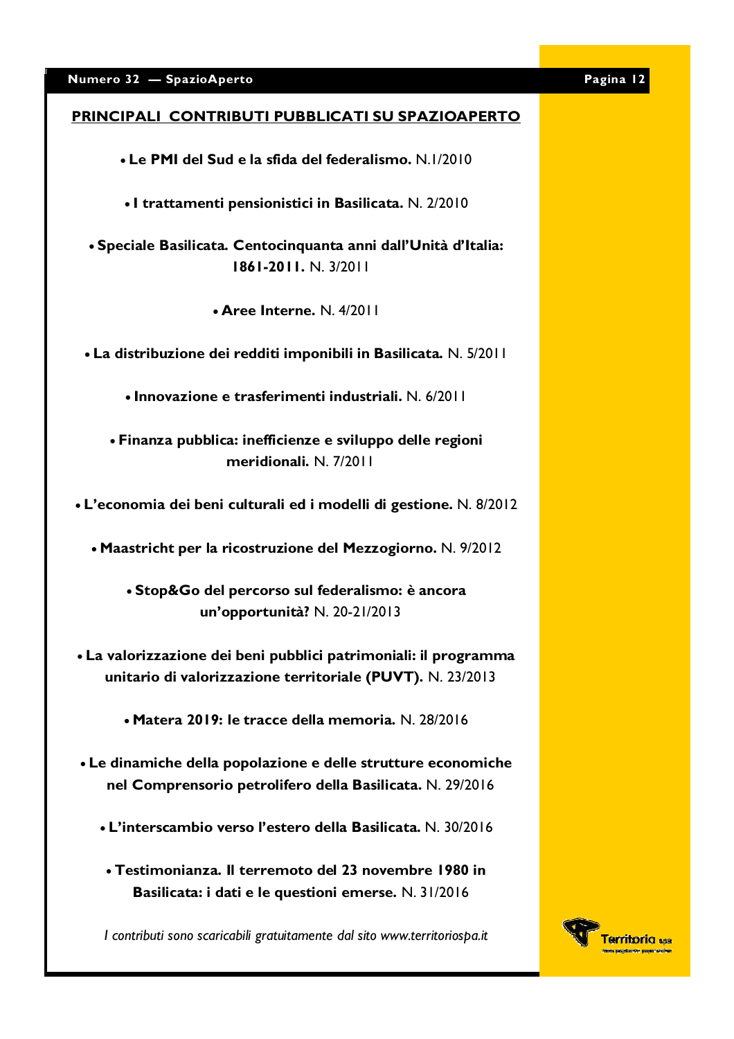## PRINCIPALI CONTRIBUTI PUBBLICATI SU SPAZIOAPERTO

• Le PMI del Sud e la sfida del federalismo, N.1/2010

• I trattamenti pensionistici in Basilicata. N. 2/2010

• Speciale Basilicata. Centocinquanta anni dall'Unità d'Italia: 1861-2011, N. 3/2011

• Aree Interne. N. 4/2011

• La distribuzione dei redditi imponibili in Basilicata. N. 5/2011

• Innovazione e trasferimenti industriali, N. 6/2011

• Finanza pubblica: inefficienze e sviluppo delle regioni meridionali, N. 7/2011

• L'economia dei beni culturali ed i modelli di gestione. N. 8/2012

• Maastricht per la ricostruzione del Mezzogiorno. N. 9/2012

• Stop&Go del percorso sul federalismo: è ancora un'opportunità? N. 20-21/2013

• La valorizzazione dei beni pubblici patrimoniali: il programma unitario di valorizzazione territoriale (PUVT). N. 23/2013

• Matera 2019: le tracce della memoria. N. 28/2016

- Le dinamiche della popolazione e delle strutture economiche nel Comprensorio petrolifero della Basilicata. N. 29/2016
	- L'interscambio verso l'estero della Basilicata. N. 30/2016
	- Testimonianza. Il terremoto del 23 novembre 1980 in Basilicata: i dati e le questioni emerse. N. 31/2016

I contributi sono scaricabili gratuitamente dal sito www.territoriospa.it